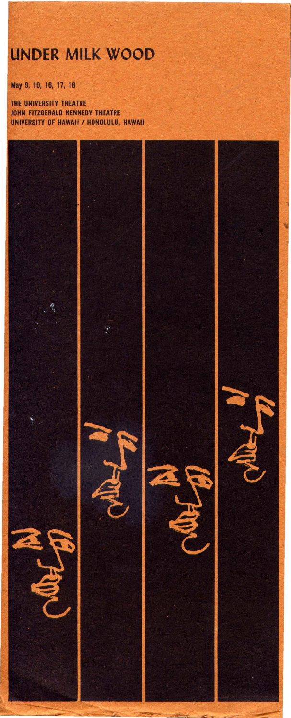# **UNDER MILK WOOD**

May 9, 10, 16, 17, 18

THE UNIVERSITY THEATRE JOHN FITZGERALD KENNEDY THEATRE UNIVERSITY OF HAWAII / HONOLULU, HAWAII

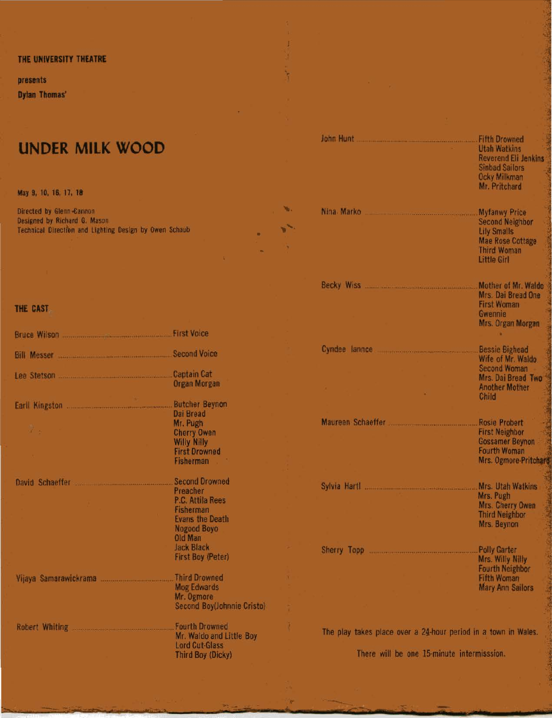THE UNIVERSITY THEATRE

presents **Dylan Thomas'** 

## **UNDER MILK WOOD**

## May 9, 10, 16, 17, 18

Directed by Glenn-Cannon Designed by Richard G. Mason. Technical Direction and Lighting Design by Owen Schaub.

THE CAST

| Bruce Wilson <b>Millipson Example 20</b> First Voice |                                                                                                                                                                                |
|------------------------------------------------------|--------------------------------------------------------------------------------------------------------------------------------------------------------------------------------|
| Bill Messer                                          | <b>Second Voice</b>                                                                                                                                                            |
|                                                      | <b>Captain Cat</b><br><b>Organ Morgan</b>                                                                                                                                      |
| $\mathcal{F}_{\mathcal{M}}$                          | <b>Butcher Beynon</b><br>Dai Bread<br>Mr. Pugh<br><b>Cherry Owen</b><br><b>Willy Nilly</b>                                                                                     |
|                                                      | <b>First Drowned</b><br><b>Fisherman</b>                                                                                                                                       |
| David Schaeffer Management Communication             | <b>Second Drowned</b><br>Preacher<br>P.C. Attila Rees<br>Fisherman<br><b>Evans the Death</b><br><b>Nogood Boyo</b><br>Old Man<br><b>Jack Black</b><br><b>First Boy (Peter)</b> |
| Vijaya Samarawickrama                                | <b>Third Drowned</b><br><b>Mog Edwards</b><br>Mr. Ogmore<br>Second Boy(Johnnie Cristo)                                                                                         |
| Robert Whiting Manuscripture Routh Drowned           | Mr. Waldo and Little Boy<br><b>Lord Cut-Glass</b><br><b>Third Boy (Dicky)</b>                                                                                                  |

| John Hunt         | <b>Fifth Drowned</b>                               |
|-------------------|----------------------------------------------------|
|                   | <b>Utah Watkins</b><br><b>Reverend Eli Jenkins</b> |
|                   | <b>Sinbad Sailors</b>                              |
|                   | <b>Ocky Milkman</b>                                |
|                   | Mr. Pritchard                                      |
| Nina Marko        | <b>Myfanwy Price</b>                               |
|                   | <b>Second Neighbor</b>                             |
|                   | <b>Lily Smalls</b>                                 |
|                   | <b>Mae Rose Cottage</b><br><b>Third Woman</b>      |
|                   | <b>Little Girl</b>                                 |
|                   |                                                    |
| <b>Becky Wiss</b> | Mother of Mr. Waldo                                |
|                   | Mrs. Dai Bread One                                 |
|                   | <b>First Woman</b><br><b>Gwennie</b>               |
|                   | Mrs. Organ Morgan                                  |
|                   |                                                    |
| Cyndee lannce     | <b>Bessie Bighead</b>                              |
|                   | Wife of Mr. Waldo                                  |
|                   | <b>Second Woman</b><br>Mrs. Dai Bread Two          |
|                   | <b>Another Mother</b>                              |
|                   | <b>Child</b>                                       |
| Maureen Schaeffer | <b>Rosie Probert</b>                               |
|                   | <b>First Neighbor</b>                              |
|                   | <b>Gossamer Beynon</b>                             |
|                   | <b>Fourth Woman</b><br>Mrs. Ogmore-Pritchard       |
|                   |                                                    |
|                   | Mrs. Utah Watkins                                  |
|                   | Mrs. Pugh                                          |
|                   | Mrs. Cherry Owen<br><b>Third Neighbor</b>          |
|                   | Mrs. Beynon                                        |
|                   |                                                    |
|                   | <b>Polly Garter</b><br>Mrs. Willy Nilly            |
|                   | <b>Fourth Neighbor</b>                             |
|                   |                                                    |
|                   | <b>Fifth Woman</b><br><b>Mary Ann Sailors</b>      |

J

÷.

The play takes place over a 24-hour period in a town in Wales.

There will be one 15-minute intermisssion.